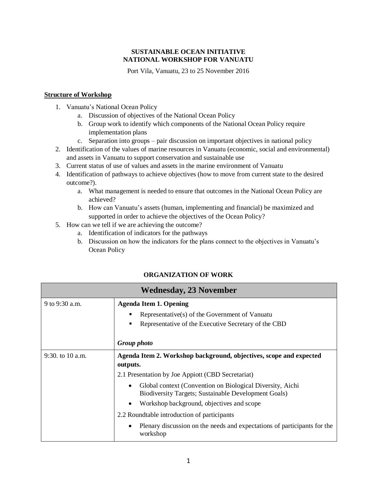## **SUSTAINABLE OCEAN INITIATIVE NATIONAL WORKSHOP FOR VANUATU**

Port Vila, Vanuatu, 23 to 25 November 2016

## **Structure of Workshop**

- 1. Vanuatu's National Ocean Policy
	- a. Discussion of objectives of the National Ocean Policy
	- b. Group work to identify which components of the National Ocean Policy require implementation plans
	- c. Separation into groups pair discussion on important objectives in national policy
- 2. Identification of the values of marine resources in Vanuatu (economic, social and environmental) and assets in Vanuatu to support conservation and sustainable use
- 3. Current status of use of values and assets in the marine environment of Vanuatu
- 4. Identification of pathways to achieve objectives (how to move from current state to the desired outcome?).
	- a. What management is needed to ensure that outcomes in the National Ocean Policy are achieved?
	- b. How can Vanuatu's assets (human, implementing and financial) be maximized and supported in order to achieve the objectives of the Ocean Policy?
- 5. How can we tell if we are achieving the outcome?
	- a. Identification of indicators for the pathways
	- b. Discussion on how the indicators for the plans connect to the objectives in Vanuatu's Ocean Policy

## **ORGANIZATION OF WORK**

| <b>Wednesday, 23 November</b> |                                                                                                                                |
|-------------------------------|--------------------------------------------------------------------------------------------------------------------------------|
| 9 to 9:30 a.m.                | <b>Agenda Item 1. Opening</b>                                                                                                  |
|                               | Representative(s) of the Government of Vanuatu<br>п                                                                            |
|                               | Representative of the Executive Secretary of the CBD<br>$\blacksquare$                                                         |
|                               |                                                                                                                                |
|                               | Group photo                                                                                                                    |
| 9:30. to $10$ a.m.            | Agenda Item 2. Workshop background, objectives, scope and expected                                                             |
|                               | outputs.                                                                                                                       |
|                               | 2.1 Presentation by Joe Appiott (CBD Secretariat)                                                                              |
|                               | Global context (Convention on Biological Diversity, Aichi<br>$\bullet$<br>Biodiversity Targets; Sustainable Development Goals) |
|                               | Workshop background, objectives and scope<br>$\bullet$                                                                         |
|                               | 2.2 Roundtable introduction of participants                                                                                    |
|                               | Plenary discussion on the needs and expectations of participants for the<br>$\bullet$<br>workshop                              |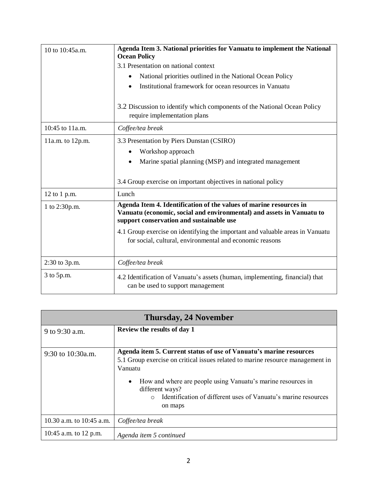| 10 to 10:45a.m.  | Agenda Item 3. National priorities for Vanuatu to implement the National<br><b>Ocean Policy</b>                                                                                         |
|------------------|-----------------------------------------------------------------------------------------------------------------------------------------------------------------------------------------|
|                  | 3.1 Presentation on national context                                                                                                                                                    |
|                  | National priorities outlined in the National Ocean Policy<br>$\bullet$                                                                                                                  |
|                  | Institutional framework for ocean resources in Vanuatu                                                                                                                                  |
|                  |                                                                                                                                                                                         |
|                  | 3.2 Discussion to identify which components of the National Ocean Policy                                                                                                                |
|                  | require implementation plans                                                                                                                                                            |
| 10:45 to 11a.m.  | Coffee/tea break                                                                                                                                                                        |
| 11a.m. to 12p.m. | 3.3 Presentation by Piers Dunstan (CSIRO)                                                                                                                                               |
|                  | Workshop approach                                                                                                                                                                       |
|                  | Marine spatial planning (MSP) and integrated management                                                                                                                                 |
|                  |                                                                                                                                                                                         |
|                  | 3.4 Group exercise on important objectives in national policy                                                                                                                           |
| 12 to 1 p.m.     | Lunch                                                                                                                                                                                   |
| 1 to 2:30p.m.    | Agenda Item 4. Identification of the values of marine resources in<br>Vanuatu (economic, social and environmental) and assets in Vanuatu to<br>support conservation and sustainable use |
|                  | 4.1 Group exercise on identifying the important and valuable areas in Vanuatu<br>for social, cultural, environmental and economic reasons                                               |
| 2:30 to 3p.m.    | Coffee/tea break                                                                                                                                                                        |
| 3 to 5p.m.       | 4.2 Identification of Vanuatu's assets (human, implementing, financial) that<br>can be used to support management                                                                       |

| <b>Thursday, 24 November</b> |                                                                                                                                                                                                                                                                                                                                                            |  |
|------------------------------|------------------------------------------------------------------------------------------------------------------------------------------------------------------------------------------------------------------------------------------------------------------------------------------------------------------------------------------------------------|--|
| 9 to 9:30 a.m.               | Review the results of day 1                                                                                                                                                                                                                                                                                                                                |  |
| 9:30 to 10:30a.m.            | Agenda item 5. Current status of use of Vanuatu's marine resources<br>5.1 Group exercise on critical issues related to marine resource management in<br>Vanuatu<br>How and where are people using Vanuatu's marine resources in<br>$\bullet$<br>different ways?<br>Identification of different uses of Vanuatu's marine resources<br>$\bigcirc$<br>on maps |  |
| 10.30 a.m. to 10:45 a.m.     | Coffee/tea break                                                                                                                                                                                                                                                                                                                                           |  |
| 10:45 a.m. to 12 p.m.        | Agenda item 5 continued                                                                                                                                                                                                                                                                                                                                    |  |